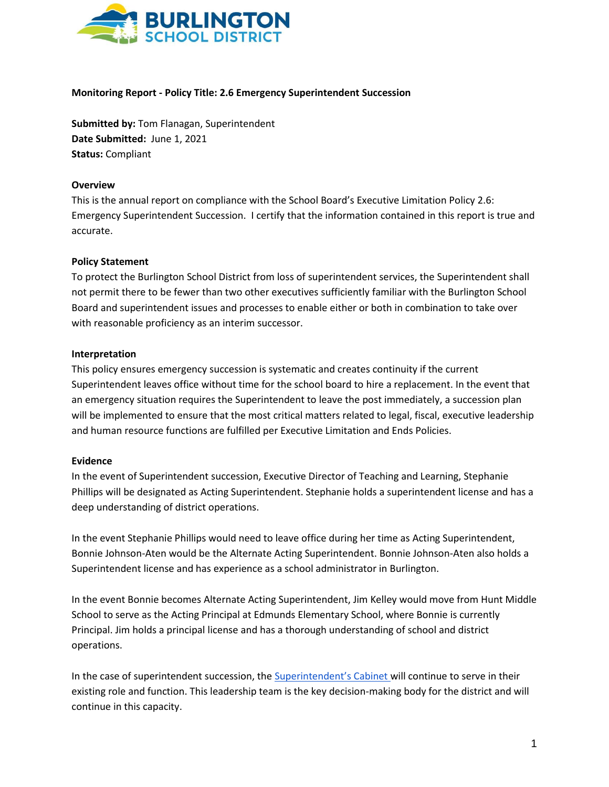

### **Monitoring Report - Policy Title: 2.6 Emergency Superintendent Succession**

**Submitted by:** Tom Flanagan, Superintendent **Date Submitted:** June 1, 2021 **Status:** Compliant

### **Overview**

This is the annual report on compliance with the School Board's Executive Limitation Policy 2.6: Emergency Superintendent Succession. I certify that the information contained in this report is true and accurate.

# **Policy Statement**

To protect the Burlington School District from loss of superintendent services, the Superintendent shall not permit there to be fewer than two other executives sufficiently familiar with the Burlington School Board and superintendent issues and processes to enable either or both in combination to take over with reasonable proficiency as an interim successor.

# **Interpretation**

This policy ensures emergency succession is systematic and creates continuity if the current Superintendent leaves office without time for the school board to hire a replacement. In the event that an emergency situation requires the Superintendent to leave the post immediately, a succession plan will be implemented to ensure that the most critical matters related to legal, fiscal, executive leadership and human resource functions are fulfilled per Executive Limitation and Ends Policies.

### **Evidence**

In the event of Superintendent succession, Executive Director of Teaching and Learning, Stephanie Phillips will be designated as Acting Superintendent. Stephanie holds a superintendent license and has a deep understanding of district operations.

In the event Stephanie Phillips would need to leave office during her time as Acting Superintendent, Bonnie Johnson-Aten would be the Alternate Acting Superintendent. Bonnie Johnson-Aten also holds a Superintendent license and has experience as a school administrator in Burlington.

In the event Bonnie becomes Alternate Acting Superintendent, Jim Kelley would move from Hunt Middle School to serve as the Acting Principal at Edmunds Elementary School, where Bonnie is currently Principal. Jim holds a principal license and has a thorough understanding of school and district operations.

In the case of superintendent succession, the [Superintendent's Cabinet](https://www.bsdvt.org/wp-content/uploads/2020/08/Burlington-School-District-Superintendnet-Cabinet-8.17.2020.D.pdf) will continue to serve in their existing role and function. This leadership team is the key decision-making body for the district and will continue in this capacity.